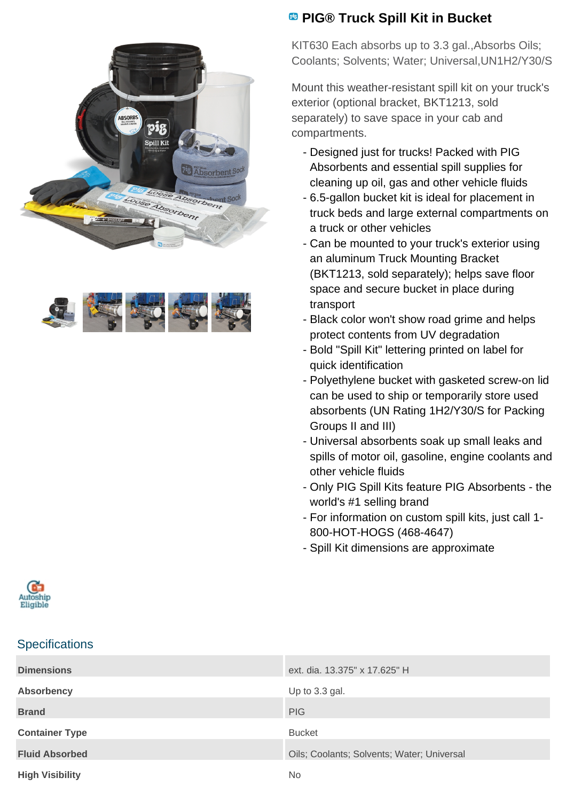



## **<sup><b>B</sup>** PIG® Truck Spill Kit in Bucket</sup>

KIT630 Each absorbs up to 3.3 gal.,Absorbs Oils; Coolants; Solvents; Water; Universal,UN1H2/Y30/S

Mount this weather-resistant spill kit on your truck's exterior (optional bracket, BKT1213, sold separately) to save space in your cab and compartments.

- Designed just for trucks! Packed with PIG Absorbents and essential spill supplies for cleaning up oil, gas and other vehicle fluids
- 6.5-gallon bucket kit is ideal for placement in truck beds and large external compartments on a truck or other vehicles
- Can be mounted to your truck's exterior using an aluminum Truck Mounting Bracket (BKT1213, sold separately); helps save floor space and secure bucket in place during transport
- Black color won't show road grime and helps protect contents from UV degradation
- Bold "Spill Kit" lettering printed on label for quick identification
- Polyethylene bucket with gasketed screw-on lid can be used to ship or temporarily store used absorbents (UN Rating 1H2/Y30/S for Packing Groups II and III)
- Universal absorbents soak up small leaks and spills of motor oil, gasoline, engine coolants and other vehicle fluids
- Only PIG Spill Kits feature PIG Absorbents the world's #1 selling brand
- For information on custom spill kits, just call 1-800-HOT-HOGS (468-4647)
- Spill Kit dimensions are approximate



## **Specifications**

| <b>Dimensions</b>      | ext. dia. 13.375" x 17.625" H              |
|------------------------|--------------------------------------------|
| Absorbency             | Up to 3.3 gal.                             |
| <b>Brand</b>           | <b>PIG</b>                                 |
| <b>Container Type</b>  | <b>Bucket</b>                              |
| <b>Fluid Absorbed</b>  | Oils; Coolants; Solvents; Water; Universal |
| <b>High Visibility</b> | <b>No</b>                                  |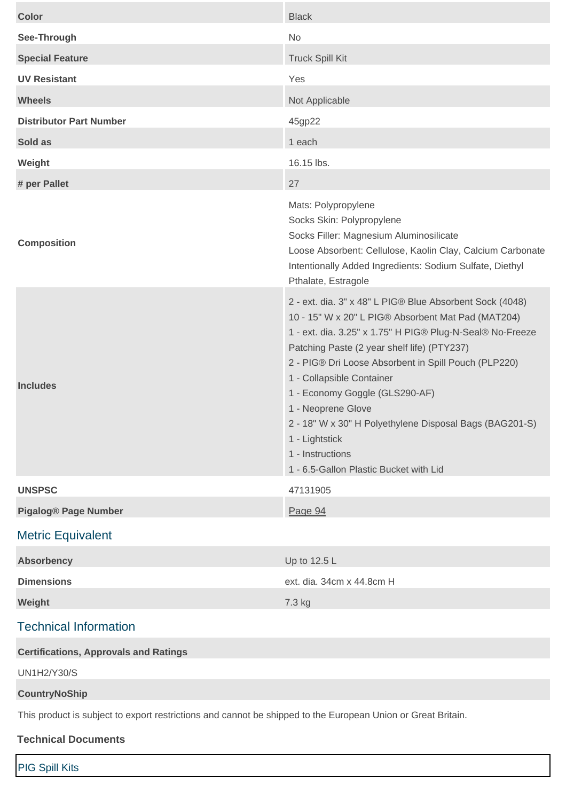| <b>Color</b>                                                                                                 | <b>Black</b>                                                                                                                                                                                                                                                                                                                                                                                                                                                                                                       |  |  |  |  |  |
|--------------------------------------------------------------------------------------------------------------|--------------------------------------------------------------------------------------------------------------------------------------------------------------------------------------------------------------------------------------------------------------------------------------------------------------------------------------------------------------------------------------------------------------------------------------------------------------------------------------------------------------------|--|--|--|--|--|
| See-Through                                                                                                  | No                                                                                                                                                                                                                                                                                                                                                                                                                                                                                                                 |  |  |  |  |  |
| <b>Special Feature</b>                                                                                       | <b>Truck Spill Kit</b>                                                                                                                                                                                                                                                                                                                                                                                                                                                                                             |  |  |  |  |  |
| <b>UV Resistant</b>                                                                                          | Yes                                                                                                                                                                                                                                                                                                                                                                                                                                                                                                                |  |  |  |  |  |
| <b>Wheels</b>                                                                                                | Not Applicable                                                                                                                                                                                                                                                                                                                                                                                                                                                                                                     |  |  |  |  |  |
| <b>Distributor Part Number</b>                                                                               | 45gp22                                                                                                                                                                                                                                                                                                                                                                                                                                                                                                             |  |  |  |  |  |
| Sold as                                                                                                      | 1 each                                                                                                                                                                                                                                                                                                                                                                                                                                                                                                             |  |  |  |  |  |
| Weight                                                                                                       | 16.15 lbs.                                                                                                                                                                                                                                                                                                                                                                                                                                                                                                         |  |  |  |  |  |
| # per Pallet                                                                                                 | 27                                                                                                                                                                                                                                                                                                                                                                                                                                                                                                                 |  |  |  |  |  |
| <b>Composition</b>                                                                                           | Mats: Polypropylene<br>Socks Skin: Polypropylene<br>Socks Filler: Magnesium Aluminosilicate<br>Loose Absorbent: Cellulose, Kaolin Clay, Calcium Carbonate<br>Intentionally Added Ingredients: Sodium Sulfate, Diethyl<br>Pthalate, Estragole                                                                                                                                                                                                                                                                       |  |  |  |  |  |
| <b>Includes</b>                                                                                              | 2 - ext. dia. 3" x 48" L PIG® Blue Absorbent Sock (4048)<br>10 - 15" W x 20" L PIG® Absorbent Mat Pad (MAT204)<br>1 - ext. dia. 3.25" x 1.75" H PIG® Plug-N-Seal® No-Freeze<br>Patching Paste (2 year shelf life) (PTY237)<br>2 - PIG® Dri Loose Absorbent in Spill Pouch (PLP220)<br>1 - Collapsible Container<br>1 - Economy Goggle (GLS290-AF)<br>1 - Neoprene Glove<br>2 - 18" W x 30" H Polyethylene Disposal Bags (BAG201-S)<br>1 - Lightstick<br>1 - Instructions<br>1 - 6.5-Gallon Plastic Bucket with Lid |  |  |  |  |  |
| <b>UNSPSC</b>                                                                                                | 47131905                                                                                                                                                                                                                                                                                                                                                                                                                                                                                                           |  |  |  |  |  |
| <b>Pigalog® Page Number</b>                                                                                  | Page 94                                                                                                                                                                                                                                                                                                                                                                                                                                                                                                            |  |  |  |  |  |
| <b>Metric Equivalent</b>                                                                                     |                                                                                                                                                                                                                                                                                                                                                                                                                                                                                                                    |  |  |  |  |  |
| <b>Absorbency</b>                                                                                            | Up to 12.5 L                                                                                                                                                                                                                                                                                                                                                                                                                                                                                                       |  |  |  |  |  |
| <b>Dimensions</b>                                                                                            | ext. dia. 34cm x 44.8cm H                                                                                                                                                                                                                                                                                                                                                                                                                                                                                          |  |  |  |  |  |
| Weight                                                                                                       | 7.3 kg                                                                                                                                                                                                                                                                                                                                                                                                                                                                                                             |  |  |  |  |  |
| <b>Technical Information</b>                                                                                 |                                                                                                                                                                                                                                                                                                                                                                                                                                                                                                                    |  |  |  |  |  |
| <b>Certifications, Approvals and Ratings</b>                                                                 |                                                                                                                                                                                                                                                                                                                                                                                                                                                                                                                    |  |  |  |  |  |
| <b>UN1H2/Y30/S</b>                                                                                           |                                                                                                                                                                                                                                                                                                                                                                                                                                                                                                                    |  |  |  |  |  |
| <b>CountryNoShip</b>                                                                                         |                                                                                                                                                                                                                                                                                                                                                                                                                                                                                                                    |  |  |  |  |  |
| This product is subject to export restrictions and cannot be shipped to the European Union or Great Britain. |                                                                                                                                                                                                                                                                                                                                                                                                                                                                                                                    |  |  |  |  |  |
| <b>Technical Documents</b>                                                                                   |                                                                                                                                                                                                                                                                                                                                                                                                                                                                                                                    |  |  |  |  |  |

| <b>PIG Spill Kits</b> |  |  |  |
|-----------------------|--|--|--|
|                       |  |  |  |